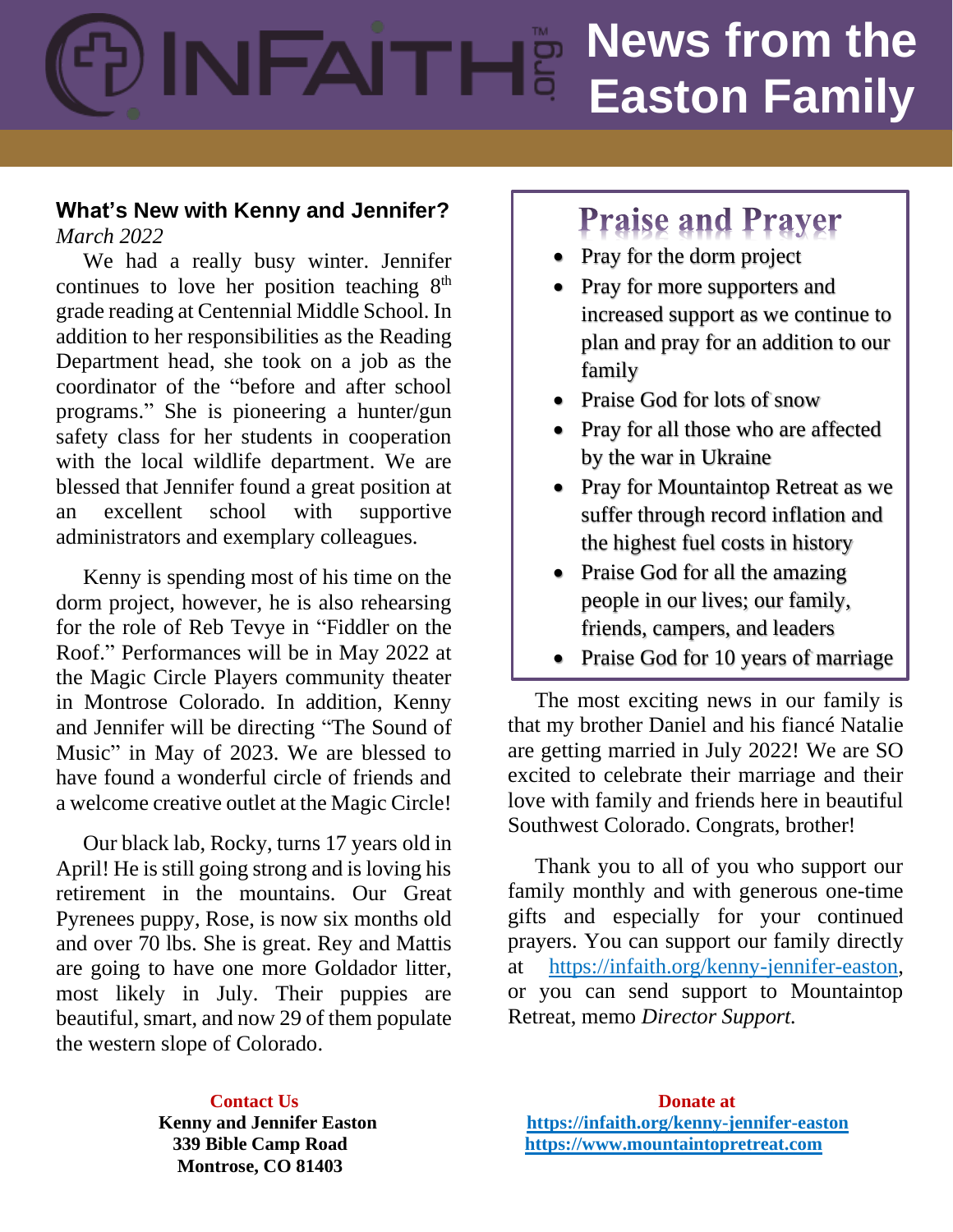# **News from the News from the Easton Family**

## **What's New with Kenny and Jennifer?** *March 2022*

 We had a really busy winter. Jennifer continues to love her position teaching  $8<sup>th</sup>$ grade reading at Centennial Middle School. In addition to her responsibilities as the Reading Department head, she took on a job as the coordinator of the "before and after school programs." She is pioneering a hunter/gun safety class for her students in cooperation with the local wildlife department. We are blessed that Jennifer found a great position at an excellent school with supportive administrators and exemplary colleagues.

 Kenny is spending most of his time on the dorm project, however, he is also rehearsing for the role of Reb Tevye in "Fiddler on the Roof." Performances will be in May 2022 at the Magic Circle Players community theater in Montrose Colorado. In addition, Kenny and Jennifer will be directing "The Sound of Music" in May of 2023. We are blessed to have found a wonderful circle of friends and a welcome creative outlet at the Magic Circle!

 Our black lab, Rocky, turns 17 years old in April! He is still going strong and is loving his retirement in the mountains. Our Great Pyrenees puppy, Rose, is now six months old and over 70 lbs. She is great. Rey and Mattis are going to have one more Goldador litter, most likely in July. Their puppies are beautiful, smart, and now 29 of them populate the western slope of Colorado.

## **Praise and Prayer**

- Pray for the dorm project
- Pray for more supporters and increased support as we continue to plan and pray for an addition to our family
- Praise God for lots of snow
- Pray for all those who are affected by the war in Ukraine
- Pray for Mountaintop Retreat as we suffer through record inflation and the highest fuel costs in history
- Praise God for all the amazing people in our lives; our family, friends, campers, and leaders
- Praise God for 10 years of marriage

 The most exciting news in our family is that my brother Daniel and his fiancé Natalie are getting married in July 2022! We are SO excited to celebrate their marriage and their love with family and friends here in beautiful Southwest Colorado. Congrats, brother!

 Thank you to all of you who support our family monthly and with generous one-time gifts and especially for your continued prayers. You can support our family directly at [https://infaith.org/kenny-jennifer-easton,](https://infaith.org/kenny-jennifer-easton) or you can send support to Mountaintop Retreat, memo *Director Support.* 

 **Montrose, CO 81403**